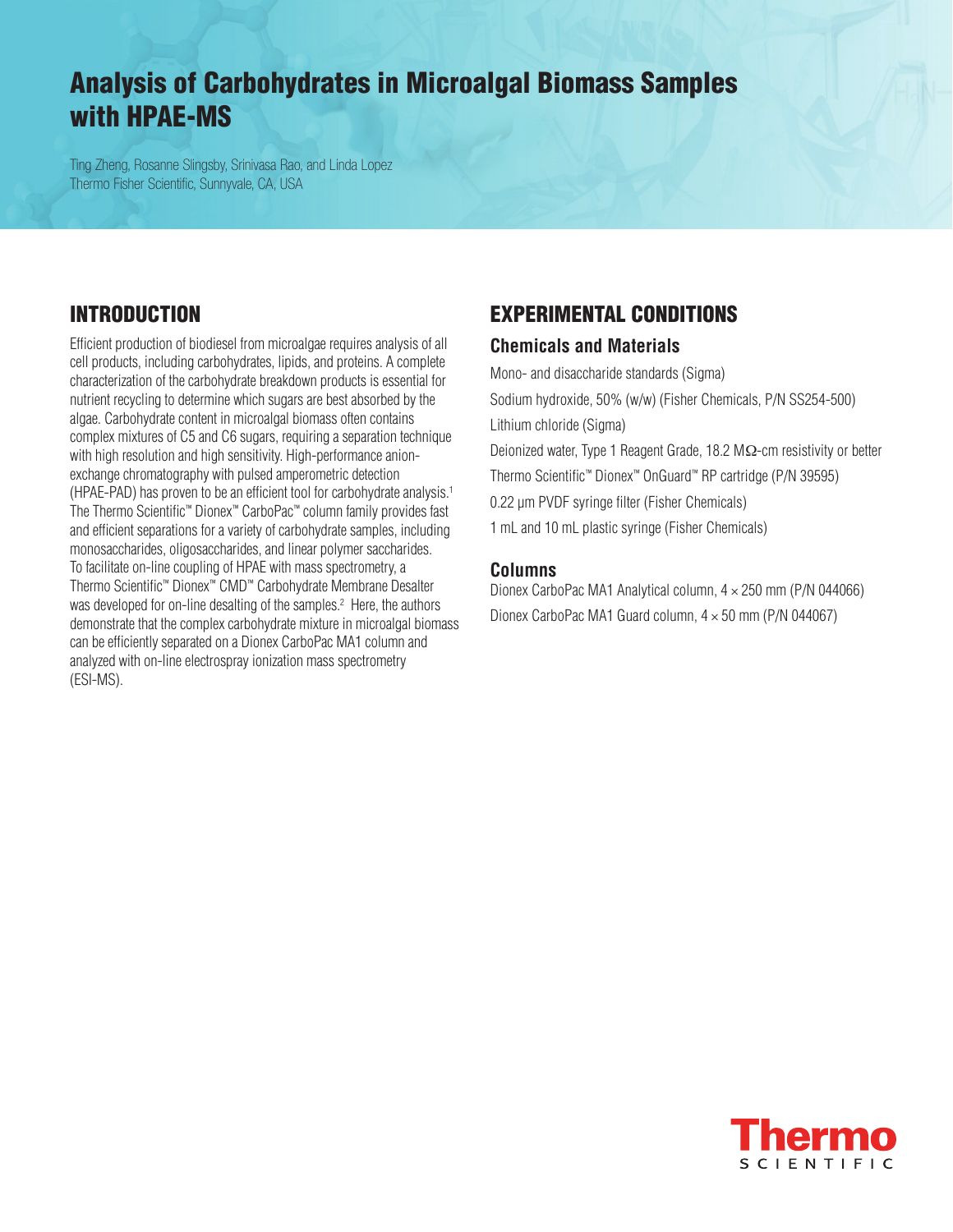# Analysis of Carbohydrates in Microalgal Biomass Samples with HPAE-MS

Ting Zheng, Rosanne Slingsby, Srinivasa Rao, and Linda Lopez Thermo Fisher Scientific, Sunnyvale, CA, USA

### Introduction

Efficient production of biodiesel from microalgae requires analysis of all cell products, including carbohydrates, lipids, and proteins. A complete characterization of the carbohydrate breakdown products is essential for nutrient recycling to determine which sugars are best absorbed by the algae. Carbohydrate content in microalgal biomass often contains complex mixtures of C5 and C6 sugars, requiring a separation technique with high resolution and high sensitivity. High-performance anionexchange chromatography with pulsed amperometric detection (HPAE-PAD) has proven to be an efficient tool for carbohydrate analysis.1 The Thermo Scientific™ Dionex™ CarboPac™ column family provides fast and efficient separations for a variety of carbohydrate samples, including monosaccharides, oligosaccharides, and linear polymer saccharides. To facilitate on-line coupling of HPAE with mass spectrometry, a Thermo Scientific™ Dionex™ CMD™ Carbohydrate Membrane Desalter was developed for on-line desalting of the samples.<sup>2</sup> Here, the authors demonstrate that the complex carbohydrate mixture in microalgal biomass can be efficiently separated on a Dionex CarboPac MA1 column and analyzed with on-line electrospray ionization mass spectrometry (ESI-MS).

### Experimental CONDITIONS

#### **Chemicals and Materials**

Mono- and disaccharide standards (Sigma) Sodium hydroxide, 50% (w/w) (Fisher Chemicals, P/N SS254-500) Lithium chloride (Sigma) Deionized water, Type 1 Reagent Grade, 18.2 MΩ-cm resistivity or better Thermo Scientific™ Dionex™ OnGuard™ RP cartridge (P/N 39595) 0.22 μm PVDF syringe filter (Fisher Chemicals) 1 mL and 10 mL plastic syringe (Fisher Chemicals)

#### **Columns**

Dionex CarboPac MA1 Analytical column, 4 × 250 mm (P/N 044066) Dionex CarboPac MA1 Guard column, 4 × 50 mm (P/N 044067)

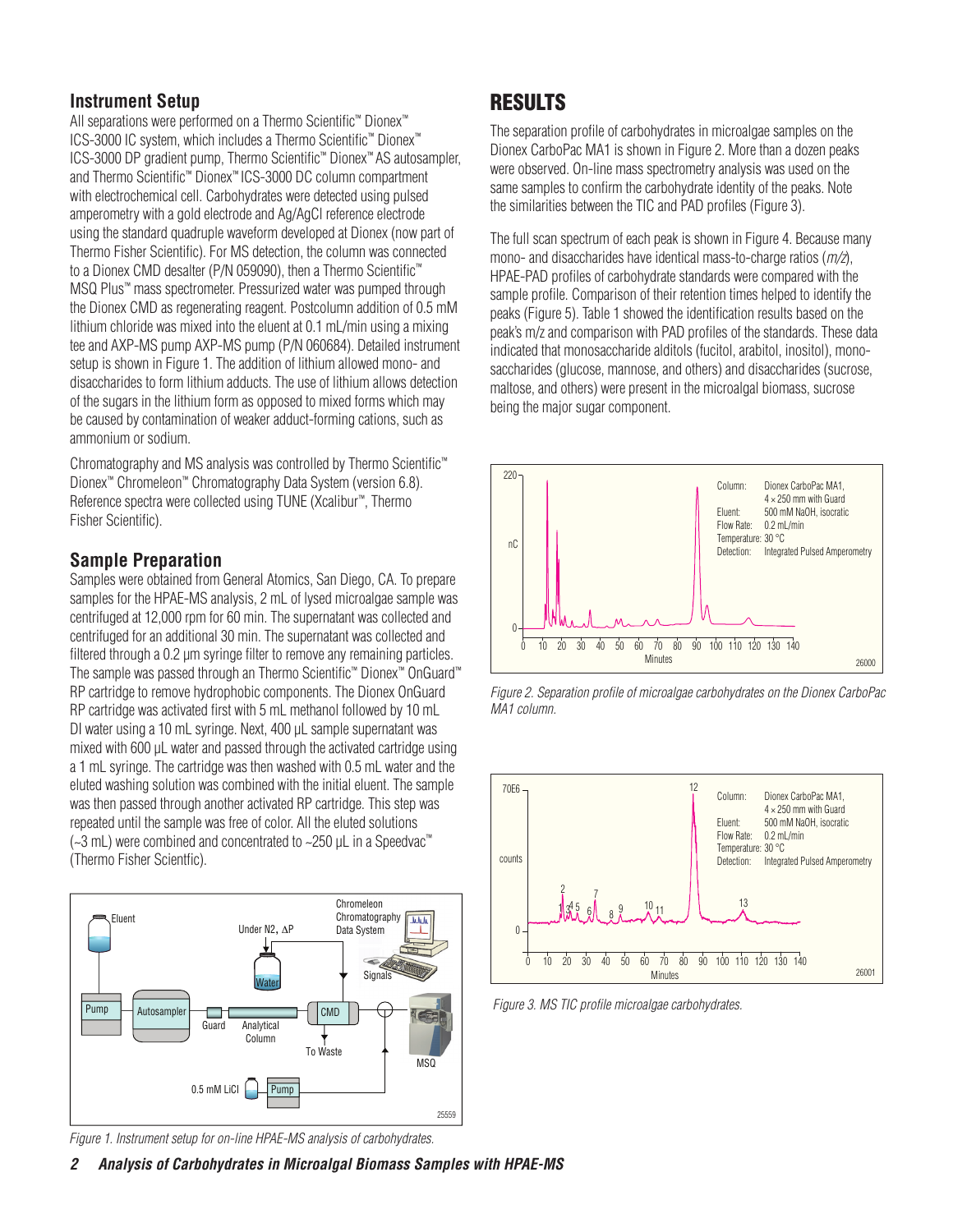#### **Instrument Setup**

All separations were performed on a Thermo Scientific™ Dionex™ ICS-3000 IC system, which includes a Thermo Scientific™ Dionex™ ICS-3000 DP gradient pump, Thermo Scientific™ Dionex™ AS autosampler, and Thermo Scientific™ Dionex™ ICS-3000 DC column compartment with electrochemical cell. Carbohydrates were detected using pulsed amperometry with a gold electrode and Ag/AgCl reference electrode using the standard quadruple waveform developed at Dionex (now part of Thermo Fisher Scientific). For MS detection, the column was connected to a Dionex CMD desalter (P/N 059090), then a Thermo Scientific™ MSQ Plus™ mass spectrometer. Pressurized water was pumped through the Dionex CMD as regenerating reagent. Postcolumn addition of 0.5 mM lithium chloride was mixed into the eluent at 0.1 mL/min using a mixing tee and AXP-MS pump AXP-MS pump (P/N 060684). Detailed instrument setup is shown in Figure 1. The addition of lithium allowed mono- and disaccharides to form lithium adducts. The use of lithium allows detection of the sugars in the lithium form as opposed to mixed forms which may be caused by contamination of weaker adduct-forming cations, such as ammonium or sodium.

Chromatography and MS analysis was controlled by Thermo Scientific™ Dionex™ Chromeleon™ Chromatography Data System (version 6.8). Reference spectra were collected using TUNE (Xcalibur™, Thermo Fisher Scientific).

#### **Sample Preparation**

Samples were obtained from General Atomics, San Diego, CA. To prepare samples for the HPAE-MS analysis, 2 mL of lysed microalgae sample was centrifuged at 12,000 rpm for 60 min. The supernatant was collected and centrifuged for an additional 30 min. The supernatant was collected and filtered through a 0.2 μm syringe filter to remove any remaining particles. The sample was passed through an Thermo Scientific™ Dionex™ OnGuard™ RP cartridge to remove hydrophobic components. The Dionex OnGuard RP cartridge was activated first with 5 mL methanol followed by 10 mL DI water using a 10 mL syringe. Next, 400 μL sample supernatant was mixed with 600 μL water and passed through the activated cartridge using a 1 mL syringe. The cartridge was then washed with 0.5 mL water and the eluted washing solution was combined with the initial eluent. The sample was then passed through another activated RP cartridge. This step was repeated until the sample was free of color. All the eluted solutions (~3 mL) were combined and concentrated to ~250 μL in a Speedvac™ (Thermo Fisher Scientfic).



*Figure 1. Instrument setup for on-line HPAE-MS analysis of carbohydrates.*

counts

## **RESULTS**

The separation profile of carbohydrates in microalgae samples on the Dionex CarboPac MA1 is shown in Figure 2. More than a dozen peaks were observed. On-line mass spectrometry analysis was used on the same samples to confirm the carbohydrate identity of the peaks. Note the similarities between the TIC and PAD profiles (Figure 3).

The full scan spectrum of each peak is shown in Figure 4. Because many mono- and disaccharides have identical mass-to-charge ratios (*m/z*), HPAE-PAD profiles of carbohydrate standards were compared with the sample profile. Comparison of their retention times helped to identify the peaks (Figure 5). Table 1 showed the identification results based on the peak's m/z and comparison with PAD profiles of the standards. These data indicated that monosaccharide alditols (fucitol, arabitol, inositol), monosaccharides (glucose, mannose, and others) and disaccharides (sucrose, maltose, and others) were present in the microalgal biomass, sucrose being the major sugar component.







*Figure 3. MS TIC profile microalgae carbohydrates.*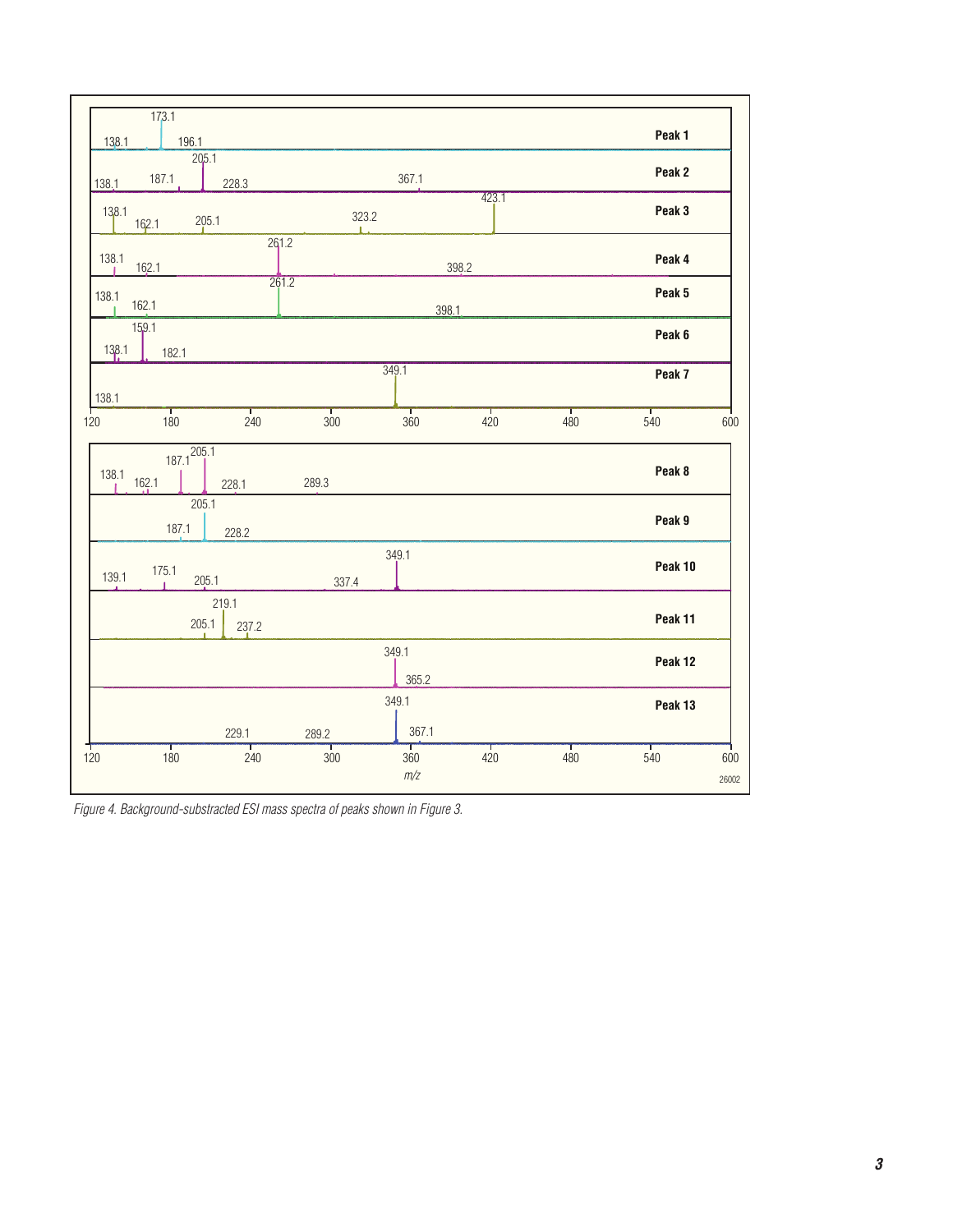| 173.1                                      |                   |                          |          |          |          |              |
|--------------------------------------------|-------------------|--------------------------|----------|----------|----------|--------------|
| 138.1<br>196.1                             |                   |                          |          |          | Peak 1   |              |
| 205.1<br>187.1<br>228.3<br>138.1           |                   | 367.1                    |          |          | Peak 2   |              |
| 138.1<br>205.1<br>162.1                    |                   | 423.1<br>323.2           |          |          | Peak 3   |              |
| 138.1<br>162.1                             | 261.2             |                          | 398.2    |          | Peak 4   |              |
| 138.1<br>162.1                             | 261.2             |                          | 398.1    |          | Peak 5   |              |
| 159.1<br>138.1<br>182.1                    |                   |                          |          |          | Peak 6   |              |
|                                            |                   | 349.1                    |          |          | Peak 7   |              |
| 138.1<br>т<br>т<br>120<br>180<br>240       | т<br>300          | т<br>360                 | т<br>420 | т<br>480 | т<br>540 | 600          |
| $187.1^{205.1}$<br>138.1<br>162.1<br>228.1 | 289.3             |                          |          |          | Peak 8   |              |
| 205.1<br>187.1<br>228.2                    |                   |                          |          |          | Peak 9   |              |
| 175.1<br>139.1<br>205.1                    | 337.4             | 349.1                    |          |          | Peak 10  |              |
| 219.1<br>205.1<br>237.2                    |                   |                          |          |          | Peak 11  |              |
|                                            |                   | 349.1<br>365.2           |          |          | Peak 12  |              |
|                                            |                   | 349.1                    |          |          | Peak 13  |              |
| 229.1<br>т<br>┱<br>120<br>180<br>240       | 289.2<br>т<br>300 | 367.1<br>т<br>360<br>m/z | т<br>420 | 480      | т<br>540 | 600<br>26002 |

*Figure 4. Background-substracted ESI mass spectra of peaks shown in Figure 3.*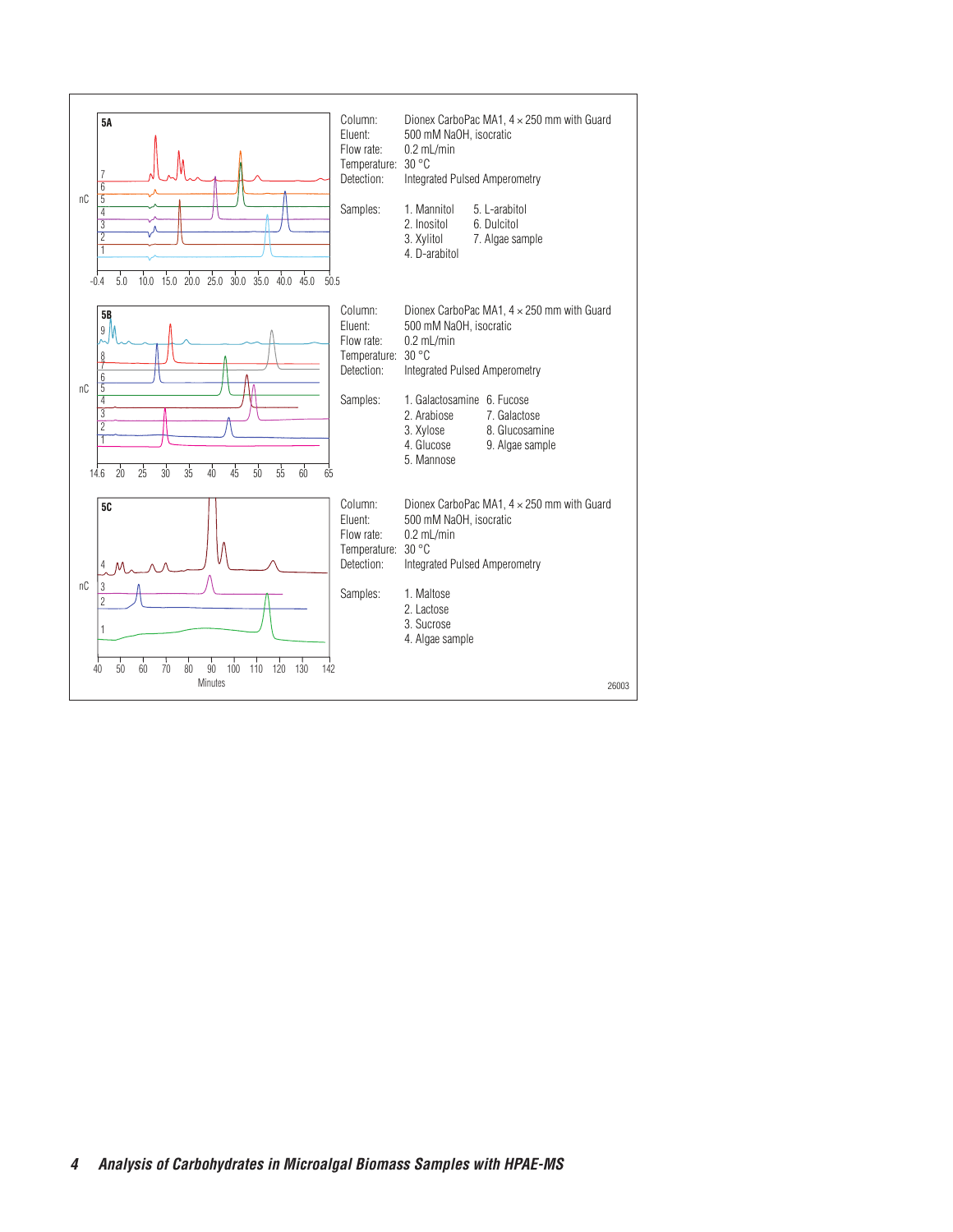